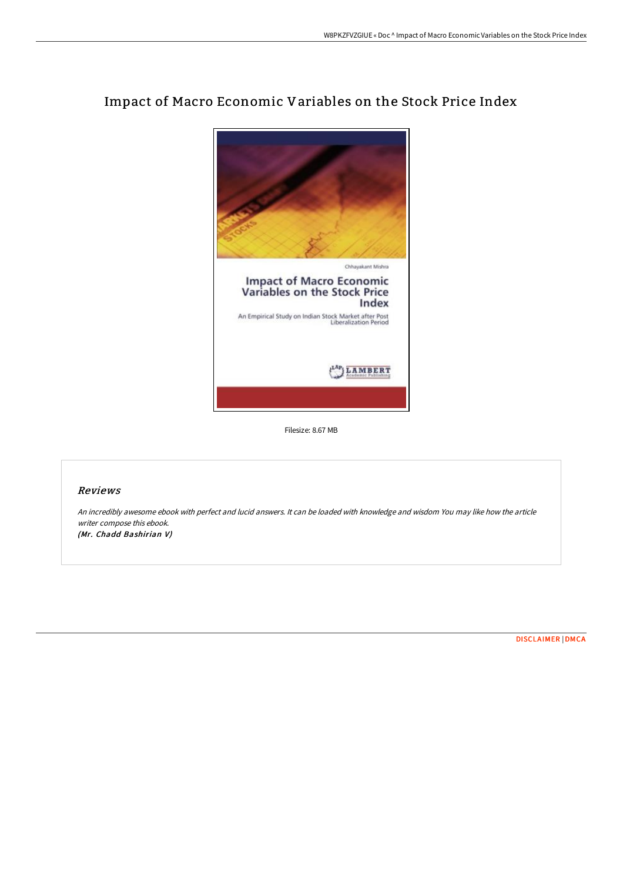

# Impact of Macro Economic Variables on the Stock Price Index

Filesize: 8.67 MB

## Reviews

An incredibly awesome ebook with perfect and lucid answers. It can be loaded with knowledge and wisdom You may like how the article writer compose this ebook. (Mr. Chadd Bashirian V)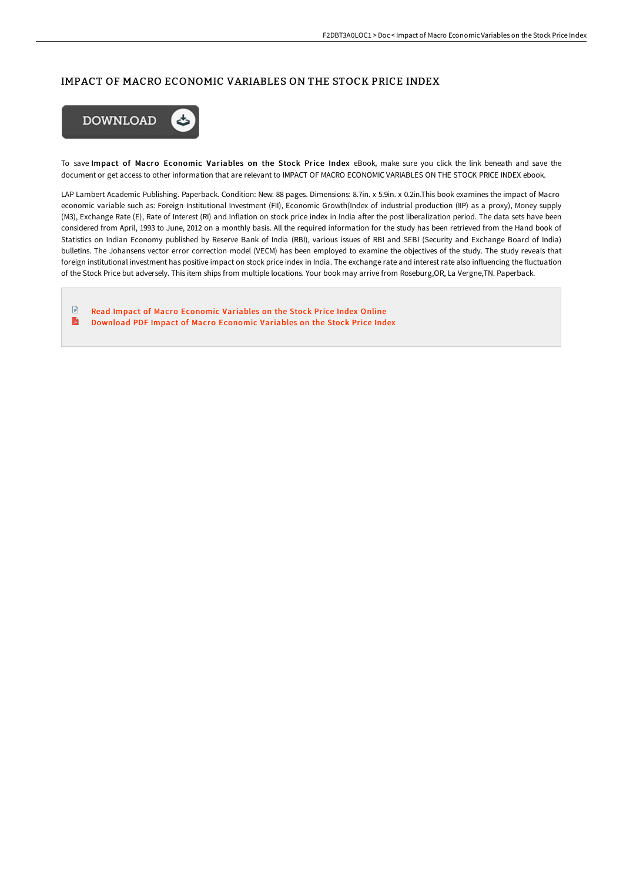### IMPACT OF MACRO ECONOMIC VARIABLES ON THE STOCK PRICE INDEX



To save Impact of Macro Economic Variables on the Stock Price Index eBook, make sure you click the link beneath and save the document or get access to other information that are relevant to IMPACT OF MACRO ECONOMIC VARIABLES ON THE STOCK PRICE INDEX ebook.

LAP Lambert Academic Publishing. Paperback. Condition: New. 88 pages. Dimensions: 8.7in. x 5.9in. x 0.2in.This book examines the impact of Macro economic variable such as: Foreign Institutional Investment (FII), Economic Growth(Index of industrial production (IIP) as a proxy), Money supply (M3), Exchange Rate (E), Rate of Interest (RI) and Inflation on stock price index in India after the post liberalization period. The data sets have been considered from April, 1993 to June, 2012 on a monthly basis. All the required information for the study has been retrieved from the Hand book of Statistics on Indian Economy published by Reserve Bank of India (RBI), various issues of RBI and SEBI (Security and Exchange Board of India) bulletins. The Johansens vector error correction model (VECM) has been employed to examine the objectives of the study. The study reveals that foreign institutional investment has positive impact on stock price index in India. The exchange rate and interest rate also influencing the fluctuation of the Stock Price but adversely. This item ships from multiple locations. Your book may arrive from Roseburg,OR, La Vergne,TN. Paperback.

 $\Box$ Read Impact of Macro [Economic](http://bookera.tech/impact-of-macro-economic-variables-on-the-stock--1.html) Variables on the Stock Price Index Online A [Download](http://bookera.tech/impact-of-macro-economic-variables-on-the-stock--1.html) PDF Impact of Macro Economic Variables on the Stock Price Index